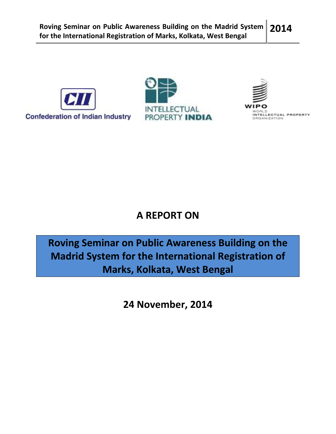





# A REPORT ON

Roving Seminar on Public Awareness Building on the Madrid System for the International Registration of Marks, Kolkata, West Bengal

24 November, 2014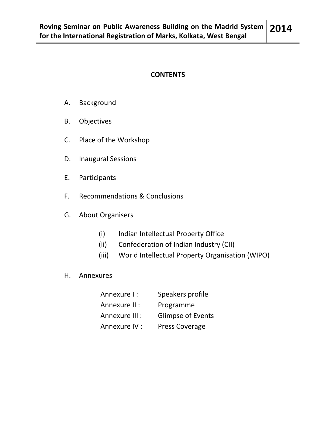## **CONTENTS**

- A. Background
- B. Objectives
- C. Place of the Workshop
- D. Inaugural Sessions
- E. Participants
- F. Recommendations & Conclusions
- G. About Organisers
	- (i) Indian Intellectual Property Office
	- (ii) Confederation of Indian Industry (CII)
	- (iii) World Intellectual Property Organisation (WIPO)
- H. Annexures

| Annexure I:    | Speakers profile         |
|----------------|--------------------------|
| Annexure II :  | Programme                |
| Annexure III : | <b>Glimpse of Events</b> |
| Annexure IV :  | <b>Press Coverage</b>    |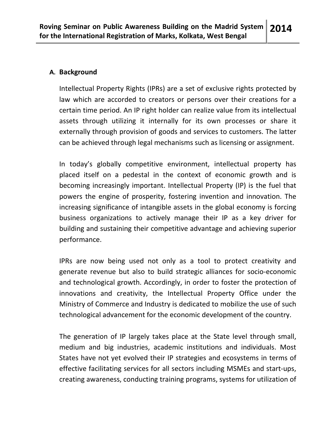## A. Background

Intellectual Property Rights (IPRs) are a set of exclusive rights protected by law which are accorded to creators or persons over their creations for a certain time period. An IP right holder can realize value from its intellectual assets through utilizing it internally for its own processes or share it externally through provision of goods and services to customers. The latter can be achieved through legal mechanisms such as licensing or assignment.

In today's globally competitive environment, intellectual property has placed itself on a pedestal in the context of economic growth and is becoming increasingly important. Intellectual Property (IP) is the fuel that powers the engine of prosperity, fostering invention and innovation. The increasing significance of intangible assets in the global economy is forcing business organizations to actively manage their IP as a key driver for building and sustaining their competitive advantage and achieving superior performance.

IPRs are now being used not only as a tool to protect creativity and generate revenue but also to build strategic alliances for socio-economic and technological growth. Accordingly, in order to foster the protection of innovations and creativity, the Intellectual Property Office under the Ministry of Commerce and Industry is dedicated to mobilize the use of such technological advancement for the economic development of the country.

The generation of IP largely takes place at the State level through small, medium and big industries, academic institutions and individuals. Most States have not yet evolved their IP strategies and ecosystems in terms of effective facilitating services for all sectors including MSMEs and start-ups, creating awareness, conducting training programs, systems for utilization of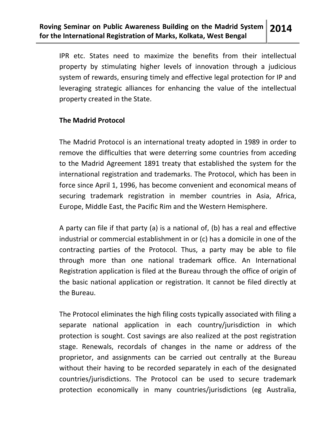IPR etc. States need to maximize the benefits from their intellectual property by stimulating higher levels of innovation through a judicious system of rewards, ensuring timely and effective legal protection for IP and leveraging strategic alliances for enhancing the value of the intellectual property created in the State.

## The Madrid Protocol

The Madrid Protocol is an international treaty adopted in 1989 in order to remove the difficulties that were deterring some countries from acceding to the Madrid Agreement 1891 treaty that established the system for the international registration and trademarks. The Protocol, which has been in force since April 1, 1996, has become convenient and economical means of securing trademark registration in member countries in Asia, Africa, Europe, Middle East, the Pacific Rim and the Western Hemisphere.

A party can file if that party (a) is a national of, (b) has a real and effective industrial or commercial establishment in or (c) has a domicile in one of the contracting parties of the Protocol. Thus, a party may be able to file through more than one national trademark office. An International Registration application is filed at the Bureau through the office of origin of the basic national application or registration. It cannot be filed directly at the Bureau.

The Protocol eliminates the high filing costs typically associated with filing a separate national application in each country/jurisdiction in which protection is sought. Cost savings are also realized at the post registration stage. Renewals, recordals of changes in the name or address of the proprietor, and assignments can be carried out centrally at the Bureau without their having to be recorded separately in each of the designated countries/jurisdictions. The Protocol can be used to secure trademark protection economically in many countries/jurisdictions (eg Australia,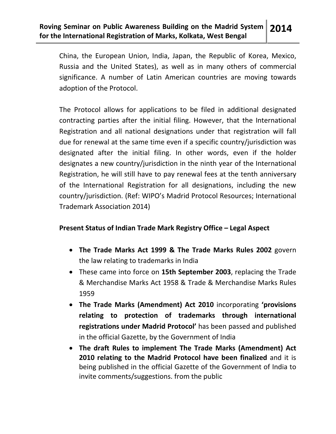China, the European Union, India, Japan, the Republic of Korea, Mexico, Russia and the United States), as well as in many others of commercial significance. A number of Latin American countries are moving towards adoption of the Protocol.

The Protocol allows for applications to be filed in additional designated contracting parties after the initial filing. However, that the International Registration and all national designations under that registration will fall due for renewal at the same time even if a specific country/jurisdiction was designated after the initial filing. In other words, even if the holder designates a new country/jurisdiction in the ninth year of the International Registration, he will still have to pay renewal fees at the tenth anniversary of the International Registration for all designations, including the new country/jurisdiction. (Ref: WIPO's Madrid Protocol Resources; International Trademark Association 2014)

## Present Status of Indian Trade Mark Registry Office – Legal Aspect

- The Trade Marks Act 1999 & The Trade Marks Rules 2002 govern the law relating to trademarks in India
- These came into force on 15th September 2003, replacing the Trade & Merchandise Marks Act 1958 & Trade & Merchandise Marks Rules 1959
- The Trade Marks (Amendment) Act 2010 incorporating 'provisions relating to protection of trademarks through international registrations under Madrid Protocol' has been passed and published in the official Gazette, by the Government of India
- The draft Rules to implement The Trade Marks (Amendment) Act 2010 relating to the Madrid Protocol have been finalized and it is being published in the official Gazette of the Government of India to invite comments/suggestions. from the public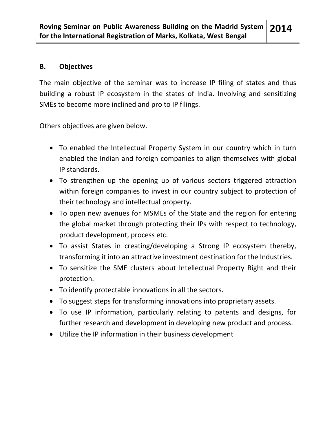## B. Objectives

The main objective of the seminar was to increase IP filing of states and thus building a robust IP ecosystem in the states of India. Involving and sensitizing SMEs to become more inclined and pro to IP filings.

Others objectives are given below.

- To enabled the Intellectual Property System in our country which in turn enabled the Indian and foreign companies to align themselves with global IP standards.
- To strengthen up the opening up of various sectors triggered attraction within foreign companies to invest in our country subject to protection of their technology and intellectual property.
- To open new avenues for MSMEs of the State and the region for entering the global market through protecting their IPs with respect to technology, product development, process etc.
- To assist States in creating/developing a Strong IP ecosystem thereby, transforming it into an attractive investment destination for the Industries.
- To sensitize the SME clusters about Intellectual Property Right and their protection.
- To identify protectable innovations in all the sectors.
- To suggest steps for transforming innovations into proprietary assets.
- To use IP information, particularly relating to patents and designs, for further research and development in developing new product and process.
- Utilize the IP information in their business development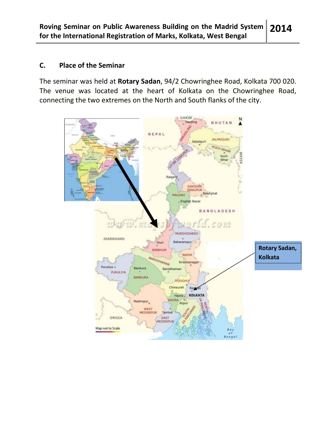## C. Place of the Seminar

The seminar was held at Rotary Sadan, 94/2 Chowringhee Road, Kolkata 700 020. The venue was located at the heart of Kolkata on the Chowringhee Road, connecting the two extremes on the North and South flanks of the city.

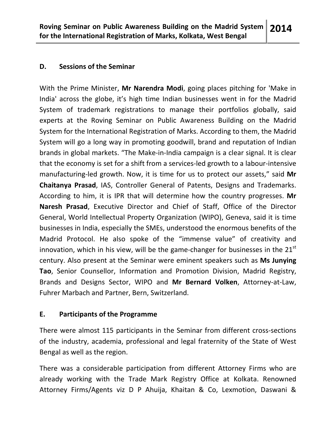## D. Sessions of the Seminar

With the Prime Minister, Mr Narendra Modi, going places pitching for 'Make in India' across the globe, it's high time Indian businesses went in for the Madrid System of trademark registrations to manage their portfolios globally, said experts at the Roving Seminar on Public Awareness Building on the Madrid System for the International Registration of Marks. According to them, the Madrid System will go a long way in promoting goodwill, brand and reputation of Indian brands in global markets. "The Make-in-India campaign is a clear signal. It is clear that the economy is set for a shift from a services-led growth to a labour-intensive manufacturing-led growth. Now, it is time for us to protect our assets," said Mr Chaitanya Prasad, IAS, Controller General of Patents, Designs and Trademarks. According to him, it is IPR that will determine how the country progresses. Mr Naresh Prasad, Executive Director and Chief of Staff, Office of the Director General, World Intellectual Property Organization (WIPO), Geneva, said it is time businesses in India, especially the SMEs, understood the enormous benefits of the Madrid Protocol. He also spoke of the "immense value" of creativity and innovation, which in his view, will be the game-changer for businesses in the  $21<sup>st</sup>$ century. Also present at the Seminar were eminent speakers such as Ms Junying Tao, Senior Counsellor, Information and Promotion Division, Madrid Registry, Brands and Designs Sector, WIPO and Mr Bernard Volken, Attorney-at-Law, Fuhrer Marbach and Partner, Bern, Switzerland.

## E. Participants of the Programme

There were almost 115 participants in the Seminar from different cross-sections of the industry, academia, professional and legal fraternity of the State of West Bengal as well as the region.

There was a considerable participation from different Attorney Firms who are already working with the Trade Mark Registry Office at Kolkata. Renowned Attorney Firms/Agents viz D P Ahuija, Khaitan & Co, Lexmotion, Daswani &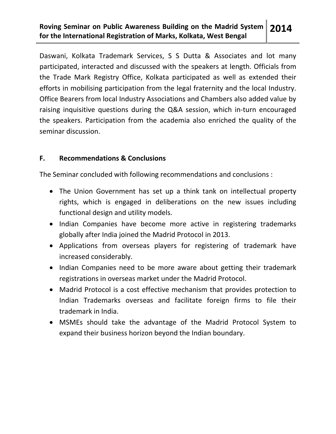#### Roving Seminar on Public Awareness Building on the Madrid System for the International Registration of Marks, Kolkata, West Bengal 2014

Daswani, Kolkata Trademark Services, S S Dutta & Associates and lot many participated, interacted and discussed with the speakers at length. Officials from the Trade Mark Registry Office, Kolkata participated as well as extended their efforts in mobilising participation from the legal fraternity and the local Industry. Office Bearers from local Industry Associations and Chambers also added value by raising inquisitive questions during the Q&A session, which in-turn encouraged the speakers. Participation from the academia also enriched the quality of the seminar discussion.

## F. Recommendations & Conclusions

The Seminar concluded with following recommendations and conclusions :

- The Union Government has set up a think tank on intellectual property rights, which is engaged in deliberations on the new issues including functional design and utility models.
- Indian Companies have become more active in registering trademarks globally after India joined the Madrid Protocol in 2013.
- Applications from overseas players for registering of trademark have increased considerably.
- Indian Companies need to be more aware about getting their trademark registrations in overseas market under the Madrid Protocol.
- Madrid Protocol is a cost effective mechanism that provides protection to Indian Trademarks overseas and facilitate foreign firms to file their trademark in India.
- MSMEs should take the advantage of the Madrid Protocol System to expand their business horizon beyond the Indian boundary.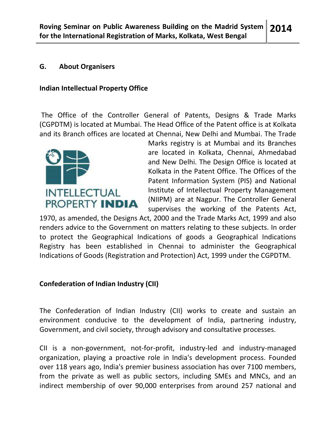## G. About Organisers

## Indian Intellectual Property Office

 The Office of the Controller General of Patents, Designs & Trade Marks (CGPDTM) is located at Mumbai. The Head Office of the Patent office is at Kolkata and its Branch offices are located at Chennai, New Delhi and Mumbai. The Trade



Marks registry is at Mumbai and its Branches are located in Kolkata, Chennai, Ahmedabad and New Delhi. The Design Office is located at Kolkata in the Patent Office. The Offices of the Patent Information System (PIS) and National Institute of Intellectual Property Management (NIIPM) are at Nagpur. The Controller General supervises the working of the Patents Act,

1970, as amended, the Designs Act, 2000 and the Trade Marks Act, 1999 and also renders advice to the Government on matters relating to these subjects. In order to protect the Geographical Indications of goods a Geographical Indications Registry has been established in Chennai to administer the Geographical Indications of Goods (Registration and Protection) Act, 1999 under the CGPDTM.

## Confederation of Indian Industry (CII)

The Confederation of Indian Industry (CII) works to create and sustain an environment conducive to the development of India, partnering industry, Government, and civil society, through advisory and consultative processes.

CII is a non-government, not-for-profit, industry-led and industry-managed organization, playing a proactive role in India's development process. Founded over 118 years ago, India's premier business association has over 7100 members, from the private as well as public sectors, including SMEs and MNCs, and an indirect membership of over 90,000 enterprises from around 257 national and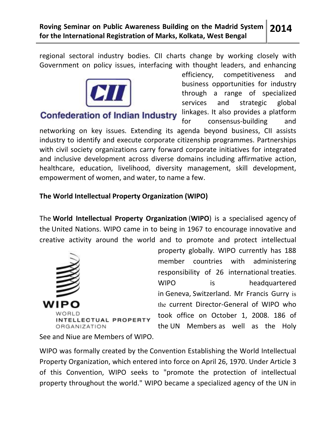regional sectoral industry bodies. CII charts change by working closely with Government on policy issues, interfacing with thought leaders, and enhancing



**Confederation of Indian Industry** 

efficiency, competitiveness and business opportunities for industry through a range of specialized services and strategic global linkages. It also provides a platform for consensus-building and

networking on key issues. Extending its agenda beyond business, CII assists industry to identify and execute corporate citizenship programmes. Partnerships with civil society organizations carry forward corporate initiatives for integrated and inclusive development across diverse domains including affirmative action, healthcare, education, livelihood, diversity management, skill development, empowerment of women, and water, to name a few.

## The World Intellectual Property Organization (WIPO)

The World Intellectual Property Organization (WIPO) is a specialised agency of the United Nations. WIPO came in to being in 1967 to encourage innovative and creative activity around the world and to promote and protect intellectual



property globally. WIPO currently has 188 member countries with administering responsibility of 26 international treaties. WIPO is headquartered in Geneva, Switzerland. Mr Francis Gurry is the current Director-General of WIPO who took office on October 1, 2008. 186 of the UN Members as well as the Holy

See and Niue are Members of WIPO.

WIPO was formally created by the Convention Establishing the World Intellectual Property Organization, which entered into force on April 26, 1970. Under Article 3 of this Convention, WIPO seeks to "promote the protection of intellectual property throughout the world." WIPO became a specialized agency of the UN in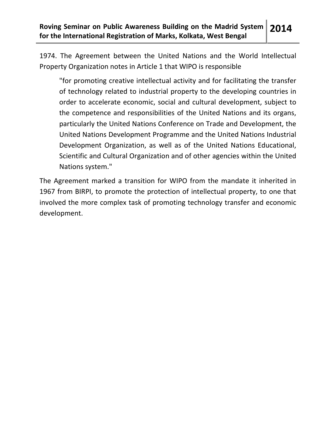1974. The Agreement between the United Nations and the World Intellectual Property Organization notes in Article 1 that WIPO is responsible

"for promoting creative intellectual activity and for facilitating the transfer of technology related to industrial property to the developing countries in order to accelerate economic, social and cultural development, subject to the competence and responsibilities of the United Nations and its organs, particularly the United Nations Conference on Trade and Development, the United Nations Development Programme and the United Nations Industrial Development Organization, as well as of the United Nations Educational, Scientific and Cultural Organization and of other agencies within the United Nations system."

The Agreement marked a transition for WIPO from the mandate it inherited in 1967 from BIRPI, to promote the protection of intellectual property, to one that involved the more complex task of promoting technology transfer and economic development.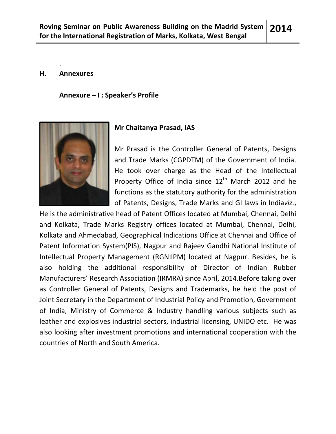#### H. Annexures

.

Annexure – I : Speaker's Profile



## Mr Chaitanya Prasad, IAS

Mr Prasad is the Controller General of Patents, Designs and Trade Marks (CGPDTM) of the Government of India. He took over charge as the Head of the Intellectual Property Office of India since  $12<sup>th</sup>$  March 2012 and he functions as the statutory authority for the administration of Patents, Designs, Trade Marks and GI laws in Indiaviz.,

He is the administrative head of Patent Offices located at Mumbai, Chennai, Delhi and Kolkata, Trade Marks Registry offices located at Mumbai, Chennai, Delhi, Kolkata and Ahmedabad, Geographical Indications Office at Chennai and Office of Patent Information System(PIS), Nagpur and Rajeev Gandhi National Institute of Intellectual Property Management (RGNIIPM) located at Nagpur. Besides, he is also holding the additional responsibility of Director of Indian Rubber Manufacturers' Research Association (IRMRA) since April, 2014.Before taking over as Controller General of Patents, Designs and Trademarks, he held the post of Joint Secretary in the Department of Industrial Policy and Promotion, Government of India, Ministry of Commerce & Industry handling various subjects such as leather and explosives industrial sectors, industrial licensing, UNIDO etc. He was also looking after investment promotions and international cooperation with the countries of North and South America.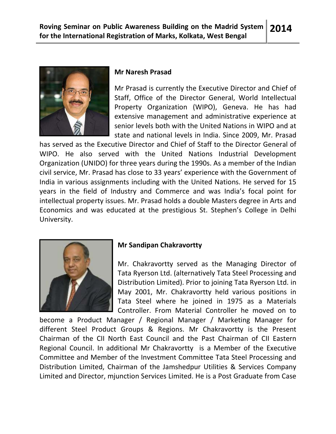

#### Mr Naresh Prasad

Mr Prasad is currently the Executive Director and Chief of Staff, Office of the Director General, World Intellectual Property Organization (WIPO), Geneva. He has had extensive management and administrative experience at senior levels both with the United Nations in WIPO and at state and national levels in India. Since 2009, Mr. Prasad

has served as the Executive Director and Chief of Staff to the Director General of WIPO. He also served with the United Nations Industrial Development Organization (UNIDO) for three years during the 1990s. As a member of the Indian civil service, Mr. Prasad has close to 33 years' experience with the Government of India in various assignments including with the United Nations. He served for 15 years in the field of Industry and Commerce and was India's focal point for intellectual property issues. Mr. Prasad holds a double Masters degree in Arts and Economics and was educated at the prestigious St. Stephen's College in Delhi University.



### Mr Sandipan Chakravortty

Mr. Chakravortty served as the Managing Director of Tata Ryerson Ltd. (alternatively Tata Steel Processing and Distribution Limited). Prior to joining Tata Ryerson Ltd. in May 2001, Mr. Chakravortty held various positions in Tata Steel where he joined in 1975 as a Materials Controller. From Material Controller he moved on to

become a Product Manager / Regional Manager / Marketing Manager for different Steel Product Groups & Regions. Mr Chakravortty is the Present Chairman of the CII North East Council and the Past Chairman of CII Eastern Regional Council. In additional Mr Chakravortty is a Member of the Executive Committee and Member of the Investment Committee Tata Steel Processing and Distribution Limited, Chairman of the Jamshedpur Utilities & Services Company Limited and Director, mjunction Services Limited. He is a Post Graduate from Case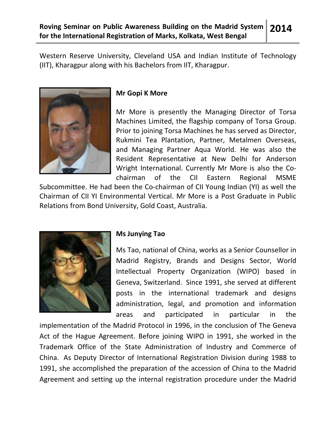Western Reserve University, Cleveland USA and Indian Institute of Technology (IIT), Kharagpur along with his Bachelors from IIT, Kharagpur.



## Mr Gopi K More

Mr More is presently the Managing Director of Torsa Machines Limited, the flagship company of Torsa Group. Prior to joining Torsa Machines he has served as Director, Rukmini Tea Plantation, Partner, Metalmen Overseas, and Managing Partner Aqua World. He was also the Resident Representative at New Delhi for Anderson Wright International. Currently Mr More is also the Cochairman of the CII Eastern Regional MSME

Subcommittee. He had been the Co-chairman of CII Young Indian (YI) as well the Chairman of CII YI Environmental Vertical. Mr More is a Post Graduate in Public Relations from Bond University, Gold Coast, Australia.



## Ms Junying Tao

Ms Tao, national of China, works as a Senior Counsellor in Madrid Registry, Brands and Designs Sector, World Intellectual Property Organization (WIPO) based in Geneva, Switzerland. Since 1991, she served at different posts in the international trademark and designs administration, legal, and promotion and information areas and participated in particular in the

implementation of the Madrid Protocol in 1996, in the conclusion of The Geneva Act of the Hague Agreement. Before joining WIPO in 1991, she worked in the Trademark Office of the State Administration of Industry and Commerce of China. As Deputy Director of International Registration Division during 1988 to 1991, she accomplished the preparation of the accession of China to the Madrid Agreement and setting up the internal registration procedure under the Madrid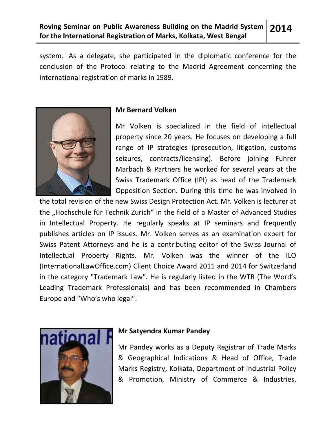system. As a delegate, she participated in the diplomatic conference for the conclusion of the Protocol relating to the Madrid Agreement concerning the international registration of marks in 1989.



## Mr Bernard Volken

Mr Volken is specialized in the field of intellectual property since 20 years. He focuses on developing a full range of IP strategies (prosecution, litigation, customs seizures, contracts/licensing). Before joining Fuhrer Marbach & Partners he worked for several years at the Swiss Trademark Office (IPI) as head of the Trademark Opposition Section. During this time he was involved in

the total revision of the new Swiss Design Protection Act. Mr. Volken is lecturer at the "Hochschule für Technik Zurich" in the field of a Master of Advanced Studies in Intellectual Property. He regularly speaks at IP seminars and frequently publishes articles on IP issues. Mr. Volken serves as an examination expert for Swiss Patent Attorneys and he is a contributing editor of the Swiss Journal of Intellectual Property Rights. Mr. Volken was the winner of the ILO (InternationalLawOffice.com) Client Choice Award 2011 and 2014 for Switzerland in the category "Trademark Law". He is regularly listed in the WTR (The Word's Leading Trademark Professionals) and has been recommended in Chambers Europe and "Who's who legal".



## Mr Satyendra Kumar Pandey

Mr Pandey works as a Deputy Registrar of Trade Marks & Geographical Indications & Head of Office, Trade Marks Registry, Kolkata, Department of Industrial Policy & Promotion, Ministry of Commerce & Industries,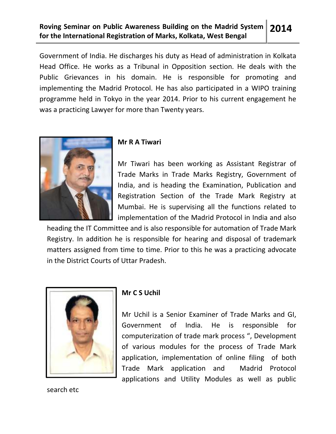Government of India. He discharges his duty as Head of administration in Kolkata Head Office. He works as a Tribunal in Opposition section. He deals with the Public Grievances in his domain. He is responsible for promoting and implementing the Madrid Protocol. He has also participated in a WIPO training programme held in Tokyo in the year 2014. Prior to his current engagement he was a practicing Lawyer for more than Twenty years.



## Mr R A Tiwari

Mr Tiwari has been working as Assistant Registrar of Trade Marks in Trade Marks Registry, Government of India, and is heading the Examination, Publication and Registration Section of the Trade Mark Registry at Mumbai. He is supervising all the functions related to implementation of the Madrid Protocol in India and also

heading the IT Committee and is also responsible for automation of Trade Mark Registry. In addition he is responsible for hearing and disposal of trademark matters assigned from time to time. Prior to this he was a practicing advocate in the District Courts of Uttar Pradesh.



## Mr C S Uchil

Mr Uchil is a Senior Examiner of Trade Marks and GI, Government of India. He is responsible for computerization of trade mark process ", Development of various modules for the process of Trade Mark application, implementation of online filing of both Trade Mark application and Madrid Protocol applications and Utility Modules as well as public

search etc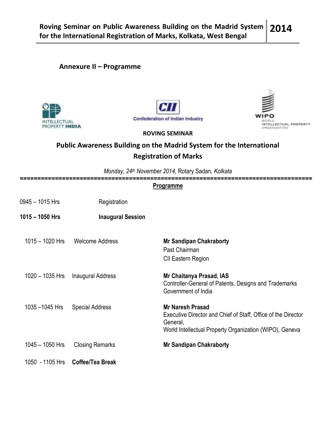## Annexure II – Programme







#### ROVING SEMINAR

## Public Awareness Building on the Madrid System for the International Registration of Marks

Monday, 24<sup>th</sup> November 2014, Rotary Sadan, Kolkata

|                   | :======================== |                                                                                                                                                                 |
|-------------------|---------------------------|-----------------------------------------------------------------------------------------------------------------------------------------------------------------|
|                   |                           | <b>Programme</b>                                                                                                                                                |
| 0945 - 1015 Hrs   | Registration              |                                                                                                                                                                 |
| 1015 - 1050 Hrs   | <b>Inaugural Session</b>  |                                                                                                                                                                 |
| $1015 - 1020$ Hrs | <b>Welcome Address</b>    | <b>Mr Sandipan Chakraborty</b><br>Past Chairman<br>CII Eastern Region                                                                                           |
| $1020 - 1035$ Hrs | <b>Inaugural Address</b>  | Mr Chaitanya Prasad, IAS<br>Controller-General of Patents, Designs and Trademarks<br>Government of India                                                        |
| 1035-1045 Hrs     | <b>Special Address</b>    | <b>Mr Naresh Prasad</b><br>Executive Director and Chief of Staff, Office of the Director<br>General,<br>World Intellectual Property Organization (WIPO), Geneva |
| $1045 - 1050$ Hrs | <b>Closing Remarks</b>    | <b>Mr Sandipan Chakraborty</b>                                                                                                                                  |
| 1050 - 1105 Hrs   | Coffee/Tea Break          |                                                                                                                                                                 |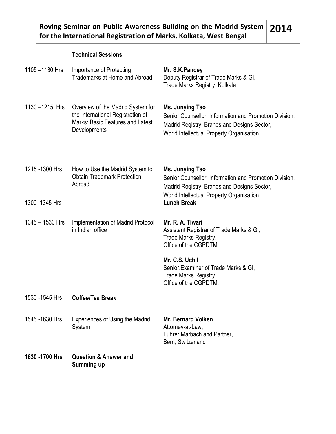## Technical Sessions

| 1105-1130 Hrs   | Importance of Protecting<br>Trademarks at Home and Abroad                                                                         | Mr. S.K.Pandey<br>Deputy Registrar of Trade Marks & GI,<br>Trade Marks Registry, Kolkata                                                                             |
|-----------------|-----------------------------------------------------------------------------------------------------------------------------------|----------------------------------------------------------------------------------------------------------------------------------------------------------------------|
| 1130-1215 Hrs   | Overview of the Madrid System for<br>the International Registration of<br><b>Marks: Basic Features and Latest</b><br>Developments | Ms. Junying Tao<br>Senior Counsellor, Information and Promotion Division,<br>Madrid Registry, Brands and Designs Sector,<br>World Intellectual Property Organisation |
| 1215 - 1300 Hrs | How to Use the Madrid System to<br><b>Obtain Trademark Protection</b><br>Abroad                                                   | Ms. Junying Tao<br>Senior Counsellor, Information and Promotion Division,<br>Madrid Registry, Brands and Designs Sector,<br>World Intellectual Property Organisation |
| 1300-1345 Hrs   |                                                                                                                                   | <b>Lunch Break</b>                                                                                                                                                   |
| 1345 - 1530 Hrs | Implementation of Madrid Protocol<br>in Indian office                                                                             | Mr. R. A. Tiwari<br>Assistant Registrar of Trade Marks & GI,<br>Trade Marks Registry,<br>Office of the CGPDTM                                                        |
|                 |                                                                                                                                   | Mr. C.S. Uchil<br>Senior Examiner of Trade Marks & GI,<br>Trade Marks Registry,<br>Office of the CGPDTM,                                                             |
| 1530 -1545 Hrs  | <b>Coffee/Tea Break</b>                                                                                                           |                                                                                                                                                                      |
| 1545 - 1630 Hrs | <b>Experiences of Using the Madrid</b><br>System                                                                                  | <b>Mr. Bernard Volken</b><br>Attorney-at-Law,<br>Fuhrer Marbach and Partner,<br>Bern, Switzerland                                                                    |
| 1630 - 1700 Hrs | <b>Question &amp; Answer and</b><br>Summing up                                                                                    |                                                                                                                                                                      |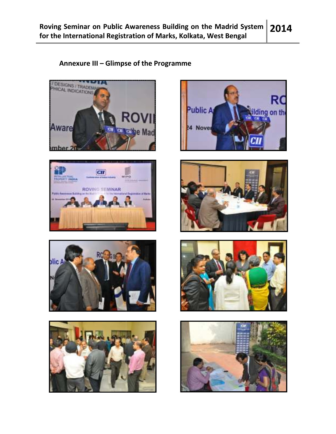## Annexure III – Glimpse of the Programme















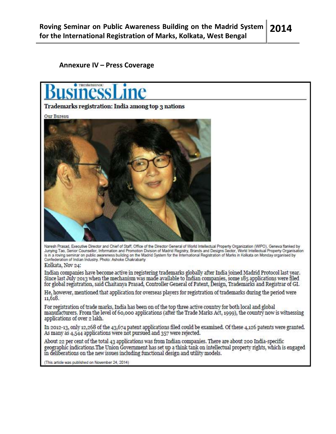#### Annexure IV – Press Coverage



#### Trademarks registration: India among top 3 nations

Our Bureau



Naresh Prasad, Executive Director and Chief of Staff, Office of the Director General of World Intellectual Property Organization (WIPO), Geneva flanked by<br>Junying Tao, Senior Counsellor, Information and Promotion Division

Kolkata, Nov 24:

Indian companies have become active in registering trademarks globally after India joined Madrid Protocol last year. Since last July 2013 when the mechanism was made available to Indian companies, some 185 applications were filed for global registration, said Chaitanya Prasad, Controller General of Patent, Design, Trademarks and Registrar of GI.

He, however, mentioned that application for overseas players for registration of trademarks during the period were 11,618.

For registration of trade marks, India has been on of the top three active country for both local and global manufacturers. From the level of 60,000 applications (after the Trade Marks Act, 1999), the country now is witnessing applications of over 2 lakh.

In 2012-13, only 12,268 of the 43,674 patent applications filed could be examined. Of these 4,126 patents were granted. As many as 4,544 applications were not pursued and 357 were rejected.

About 22 per cent of the total 43 applications was from Indian companies. There are about 200 India-specific geographic indications.The Union Government has set up a think tank on intellectual property rights, which is engaged in deliberations on the new issues including functional design and utility models.

(This article was published on November 24, 2014)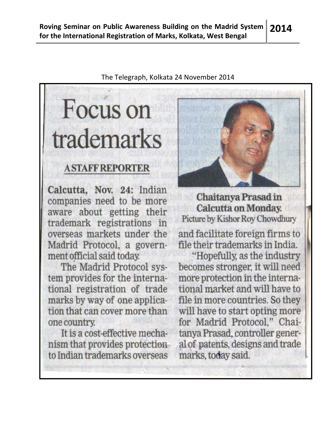The Telegraph, Kolkata 24 November 2014

# Focus on trademarks

## **ASTAFFREPORTER**

Calcutta, Nov. 24: Indian companies need to be more aware about getting their trademark registrations in overseas markets under the Madrid Protocol, a government official said today.

The Madrid Protocol system provides for the international registration of trade marks by way of one application that can cover more than one country.

It is a cost-effective mechanism that provides protectionto Indian trademarks overseas



Chaitanya Prasad in **Calcutta on Monday.** Picture by Kishor Roy Chowdhury

and facilitate foreign firms to file their trademarks in India.

"Hopefully, as the industry becomes stronger, it will need more protection in the international market and will have to file in more countries. So they will have to start opting more for Madrid Protocol," Chaitanya Prasad, controller general of patents, designs and trade marks, today said.